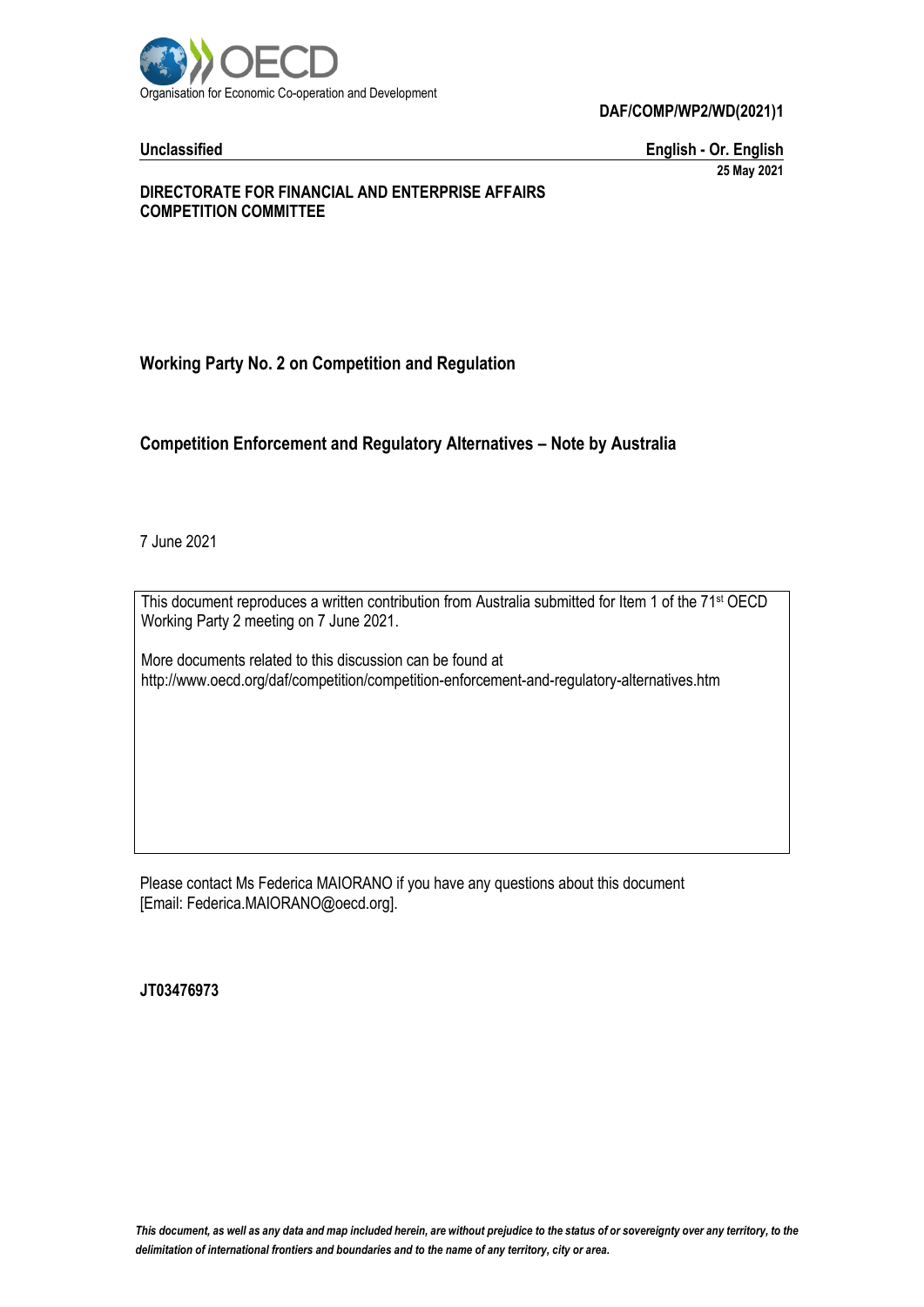

**Unclassified English - Or. English 25 May 2021**

#### **DIRECTORATE FOR FINANCIAL AND ENTERPRISE AFFAIRS COMPETITION COMMITTEE**

# **Working Party No. 2 on Competition and Regulation**

#### **Competition Enforcement and Regulatory Alternatives – Note by Australia**

7 June 2021

This document reproduces a written contribution from Australia submitted for Item 1 of the 71<sup>st</sup> OECD Working Party 2 meeting on 7 June 2021.

More documents related to this discussion can be found at http://www.oecd.org/daf/competition/competition-enforcement-and-regulatory-alternatives.htm

Please contact Ms Federica MAIORANO if you have any questions about this document [Email: Federica.MAIORANO@oecd.org].

**JT03476973**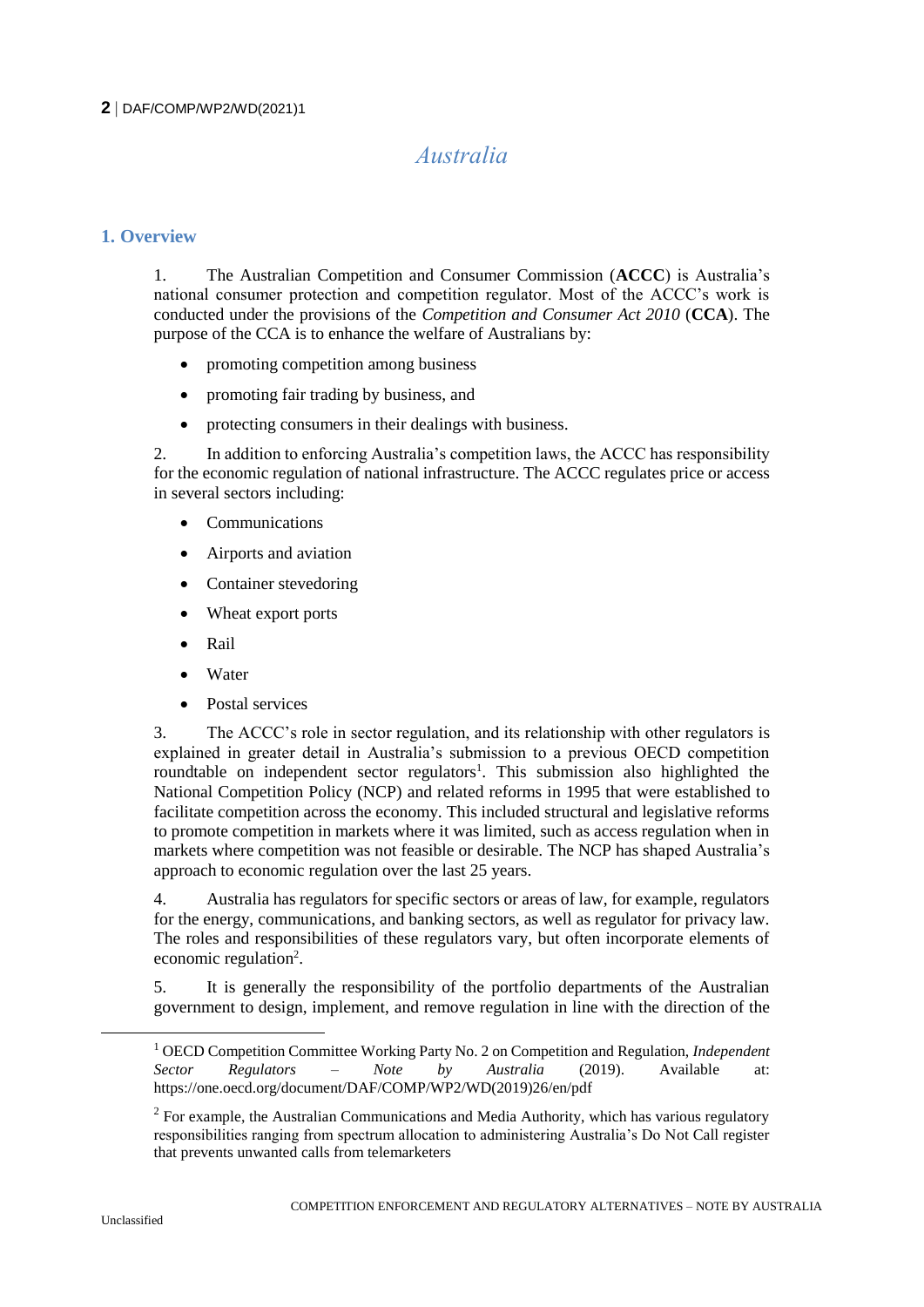# *Australia*

#### **1. Overview**

1. The Australian Competition and Consumer Commission (**ACCC**) is Australia's national consumer protection and competition regulator. Most of the ACCC's work is conducted under the provisions of the *Competition and Consumer Act 2010* (**CCA**). The purpose of the CCA is to enhance the welfare of Australians by:

- promoting competition among business
- promoting fair trading by business, and
- protecting consumers in their dealings with business.

2. In addition to enforcing Australia's competition laws, the ACCC has responsibility for the economic regulation of national infrastructure. The ACCC regulates price or access in several sectors including:

- Communications
- Airports and aviation
- Container stevedoring
- Wheat export ports
- Rail
- Water
- Postal services

3. The ACCC's role in sector regulation, and its relationship with other regulators is explained in greater detail in Australia's submission to a previous OECD competition roundtable on independent sector regulators<sup>1</sup>. This submission also highlighted the National Competition Policy (NCP) and related reforms in 1995 that were established to facilitate competition across the economy. This included structural and legislative reforms to promote competition in markets where it was limited, such as access regulation when in markets where competition was not feasible or desirable. The NCP has shaped Australia's approach to economic regulation over the last 25 years.

4. Australia has regulators for specific sectors or areas of law, for example, regulators for the energy, communications, and banking sectors, as well as regulator for privacy law. The roles and responsibilities of these regulators vary, but often incorporate elements of economic regulation<sup>2</sup>.

5. It is generally the responsibility of the portfolio departments of the Australian government to design, implement, and remove regulation in line with the direction of the

 $\overline{a}$ 

<sup>1</sup> OECD Competition Committee Working Party No. 2 on Competition and Regulation, *Independent Sector Regulators – Note by Australia* (2019). Available at: https://one.oecd.org/document/DAF/COMP/WP2/WD(2019)26/en/pdf

<sup>&</sup>lt;sup>2</sup> For example, the Australian Communications and Media Authority, which has various regulatory responsibilities ranging from spectrum allocation to administering Australia's Do Not Call register that prevents unwanted calls from telemarketers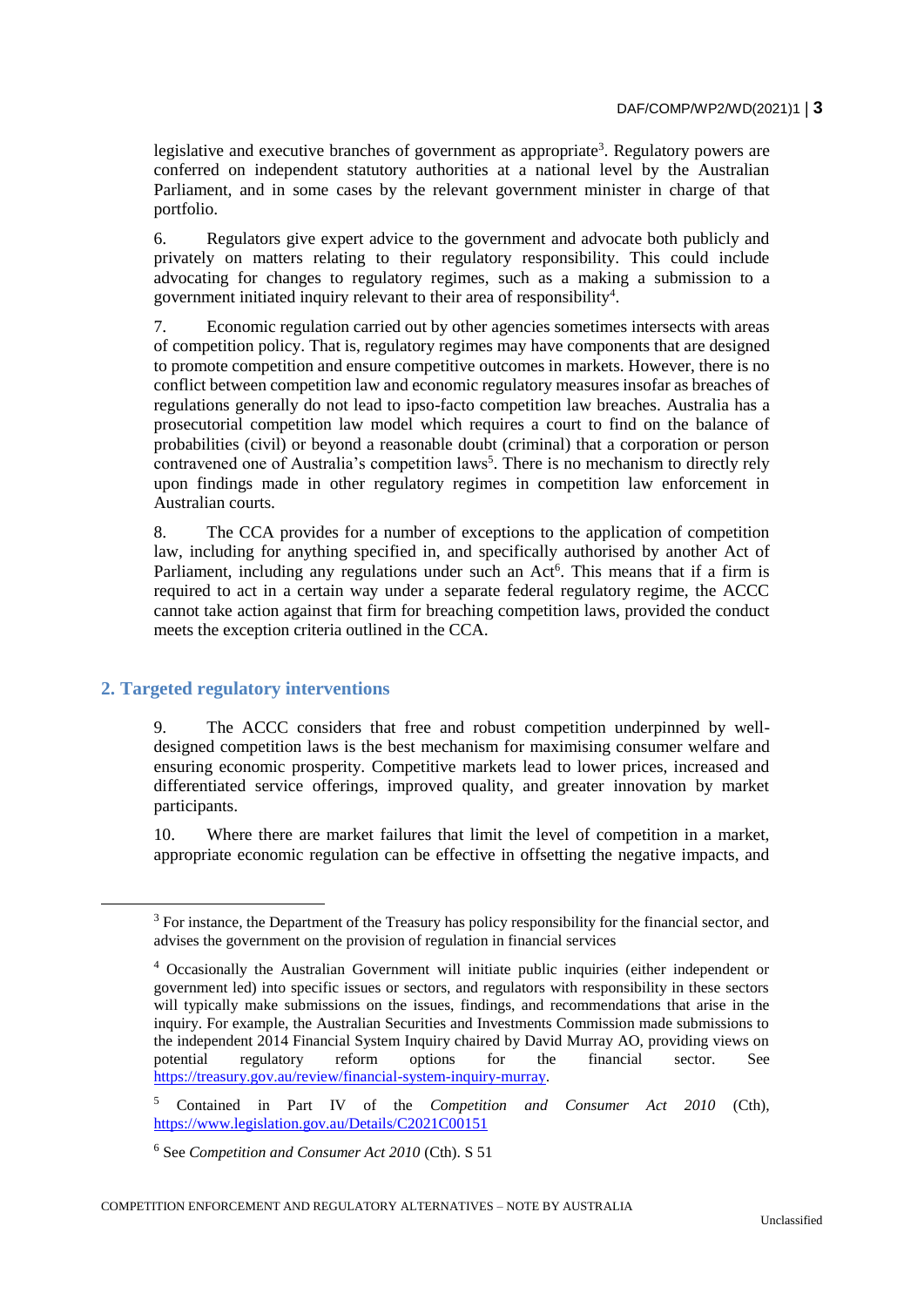legislative and executive branches of government as appropriate<sup>3</sup>. Regulatory powers are conferred on independent statutory authorities at a national level by the Australian Parliament, and in some cases by the relevant government minister in charge of that portfolio.

6. Regulators give expert advice to the government and advocate both publicly and privately on matters relating to their regulatory responsibility. This could include advocating for changes to regulatory regimes, such as a making a submission to a government initiated inquiry relevant to their area of responsibility<sup>4</sup>.

7. Economic regulation carried out by other agencies sometimes intersects with areas of competition policy. That is, regulatory regimes may have components that are designed to promote competition and ensure competitive outcomes in markets. However, there is no conflict between competition law and economic regulatory measures insofar as breaches of regulations generally do not lead to ipso-facto competition law breaches. Australia has a prosecutorial competition law model which requires a court to find on the balance of probabilities (civil) or beyond a reasonable doubt (criminal) that a corporation or person contravened one of Australia's competition laws<sup>5</sup>. There is no mechanism to directly rely upon findings made in other regulatory regimes in competition law enforcement in Australian courts.

8. The CCA provides for a number of exceptions to the application of competition law, including for anything specified in, and specifically authorised by another Act of Parliament, including any regulations under such an  $Act<sup>6</sup>$ . This means that if a firm is required to act in a certain way under a separate federal regulatory regime, the ACCC cannot take action against that firm for breaching competition laws, provided the conduct meets the exception criteria outlined in the CCA.

#### **2. Targeted regulatory interventions**

9. The ACCC considers that free and robust competition underpinned by welldesigned competition laws is the best mechanism for maximising consumer welfare and ensuring economic prosperity. Competitive markets lead to lower prices, increased and differentiated service offerings, improved quality, and greater innovation by market participants.

10. Where there are market failures that limit the level of competition in a market, appropriate economic regulation can be effective in offsetting the negative impacts, and

<sup>&</sup>lt;sup>3</sup> For instance, the Department of the Treasury has policy responsibility for the financial sector, and advises the government on the provision of regulation in financial services

<sup>4</sup> Occasionally the Australian Government will initiate public inquiries (either independent or government led) into specific issues or sectors, and regulators with responsibility in these sectors will typically make submissions on the issues, findings, and recommendations that arise in the inquiry. For example, the Australian Securities and Investments Commission made submissions to the independent 2014 Financial System Inquiry chaired by David Murray AO, providing views on potential regulatory reform options for the financial sector. See [https://treasury.gov.au/review/financial-system-inquiry-murray.](https://treasury.gov.au/review/financial-system-inquiry-murray)

<sup>5</sup> Contained in Part IV of the *Competition and Consumer Act 2010* (Cth), <https://www.legislation.gov.au/Details/C2021C00151>

<sup>6</sup> See *Competition and Consumer Act 2010* (Cth). S 51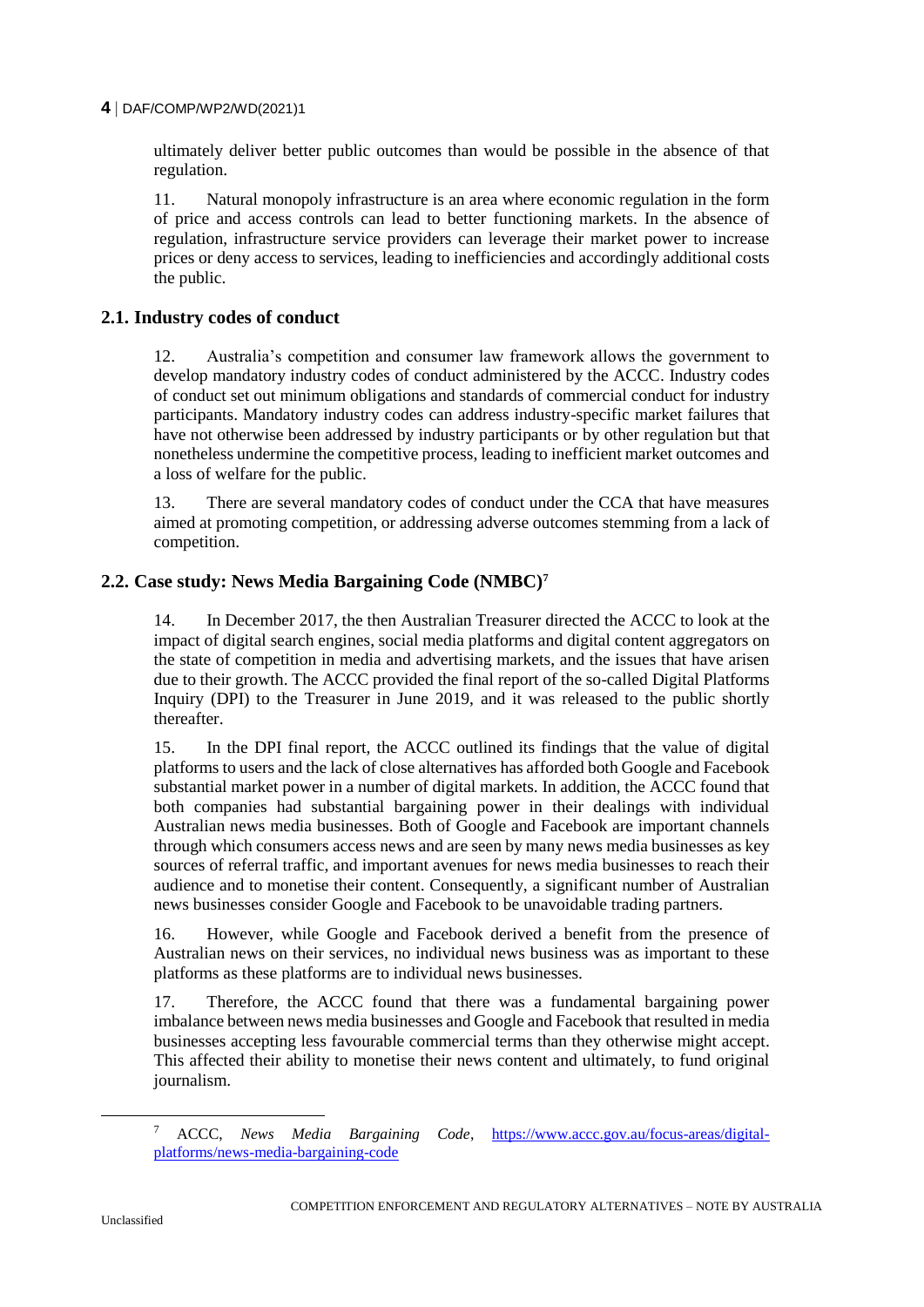ultimately deliver better public outcomes than would be possible in the absence of that regulation.

11. Natural monopoly infrastructure is an area where economic regulation in the form of price and access controls can lead to better functioning markets. In the absence of regulation, infrastructure service providers can leverage their market power to increase prices or deny access to services, leading to inefficiencies and accordingly additional costs the public.

#### **2.1. Industry codes of conduct**

12. Australia's competition and consumer law framework allows the government to develop mandatory industry codes of conduct administered by the ACCC. Industry codes of conduct set out minimum obligations and standards of commercial conduct for industry participants. Mandatory industry codes can address industry-specific market failures that have not otherwise been addressed by industry participants or by other regulation but that nonetheless undermine the competitive process, leading to inefficient market outcomes and a loss of welfare for the public.

13. There are several mandatory codes of conduct under the CCA that have measures aimed at promoting competition, or addressing adverse outcomes stemming from a lack of competition.

#### **2.2. Case study: News Media Bargaining Code (NMBC)<sup>7</sup>**

14. In December 2017, the then Australian Treasurer directed the ACCC to look at the impact of digital search engines, social media platforms and digital content aggregators on the state of competition in media and advertising markets, and the issues that have arisen due to their growth. The ACCC provided the final report of the so-called Digital Platforms Inquiry (DPI) to the Treasurer in June 2019, and it was released to the public shortly thereafter.

15. In the DPI final report, the ACCC outlined its findings that the value of digital platforms to users and the lack of close alternatives has afforded both Google and Facebook substantial market power in a number of digital markets. In addition, the ACCC found that both companies had substantial bargaining power in their dealings with individual Australian news media businesses. Both of Google and Facebook are important channels through which consumers access news and are seen by many news media businesses as key sources of referral traffic, and important avenues for news media businesses to reach their audience and to monetise their content. Consequently, a significant number of Australian news businesses consider Google and Facebook to be unavoidable trading partners.

16. However, while Google and Facebook derived a benefit from the presence of Australian news on their services, no individual news business was as important to these platforms as these platforms are to individual news businesses.

17. Therefore, the ACCC found that there was a fundamental bargaining power imbalance between news media businesses and Google and Facebook that resulted in media businesses accepting less favourable commercial terms than they otherwise might accept. This affected their ability to monetise their news content and ultimately, to fund original journalism.

<sup>7</sup> ACCC, *News Media Bargaining Code*, [https://www.accc.gov.au/focus-areas/digital](https://www.accc.gov.au/focus-areas/digital-platforms/news-media-bargaining-code)[platforms/news-media-bargaining-code](https://www.accc.gov.au/focus-areas/digital-platforms/news-media-bargaining-code)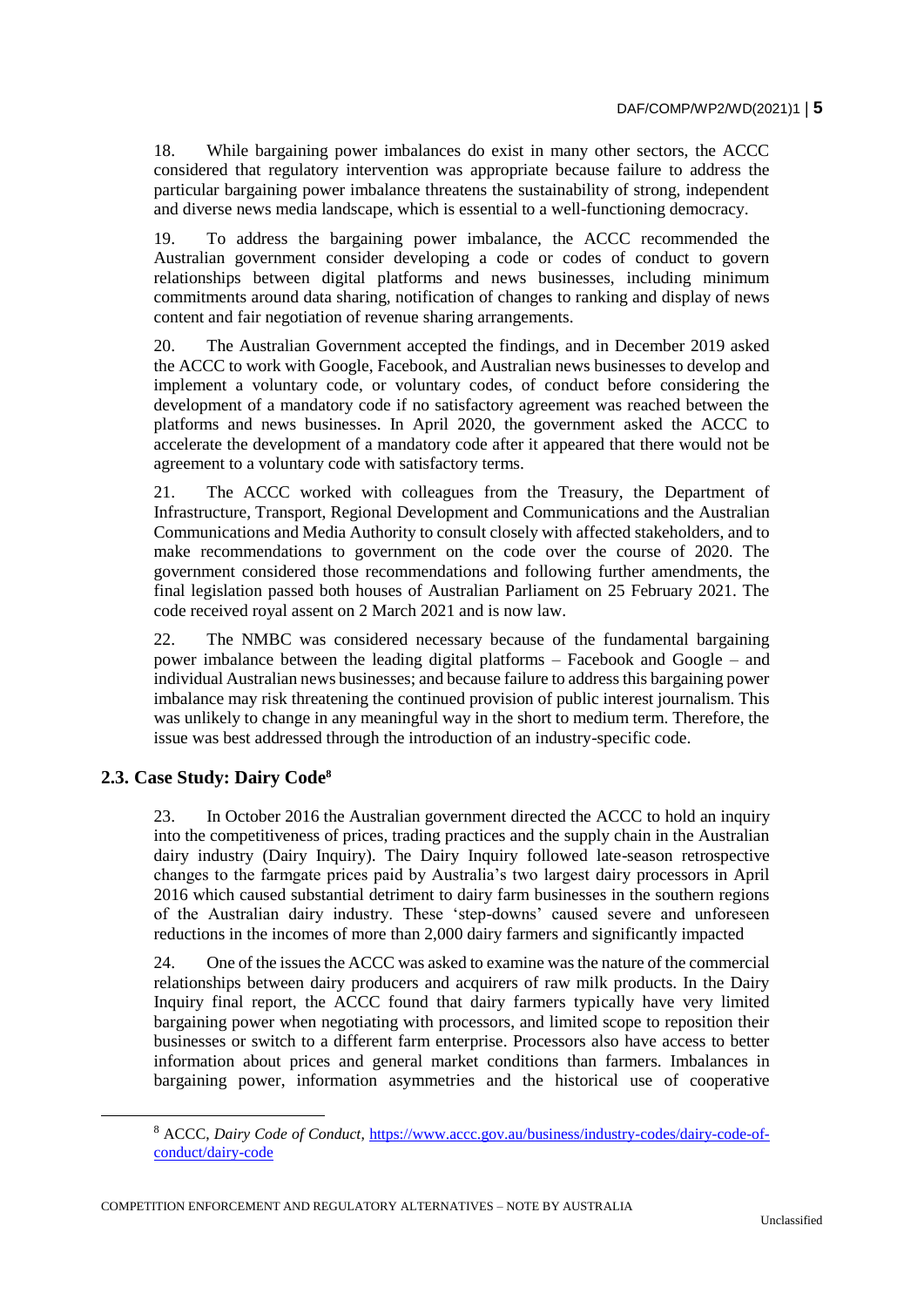18. While bargaining power imbalances do exist in many other sectors, the ACCC considered that regulatory intervention was appropriate because failure to address the particular bargaining power imbalance threatens the sustainability of strong, independent and diverse news media landscape, which is essential to a well-functioning democracy.

19. To address the bargaining power imbalance, the ACCC recommended the Australian government consider developing a code or codes of conduct to govern relationships between digital platforms and news businesses, including minimum commitments around data sharing, notification of changes to ranking and display of news content and fair negotiation of revenue sharing arrangements.

20. The Australian Government accepted the findings, and in December 2019 asked the ACCC to work with Google, Facebook, and Australian news businesses to develop and implement a voluntary code, or voluntary codes, of conduct before considering the development of a mandatory code if no satisfactory agreement was reached between the platforms and news businesses. In April 2020, the government asked the ACCC to accelerate the development of a mandatory code after it appeared that there would not be agreement to a voluntary code with satisfactory terms.

21. The ACCC worked with colleagues from the Treasury, the Department of Infrastructure, Transport, Regional Development and Communications and the Australian Communications and Media Authority to consult closely with affected stakeholders, and to make recommendations to government on the code over the course of 2020. The government considered those recommendations and following further amendments, the final legislation passed both houses of Australian Parliament on 25 February 2021. The code received royal assent on 2 March 2021 and is now law.

22. The NMBC was considered necessary because of the fundamental bargaining power imbalance between the leading digital platforms – Facebook and Google – and individual Australian news businesses; and because failure to address this bargaining power imbalance may risk threatening the continued provision of public interest journalism. This was unlikely to change in any meaningful way in the short to medium term. Therefore, the issue was best addressed through the introduction of an industry-specific code.

# **2.3. Case Study: Dairy Code<sup>8</sup>**

23. In October 2016 the Australian government directed the ACCC to hold an inquiry into the competitiveness of prices, trading practices and the supply chain in the Australian dairy industry (Dairy Inquiry). The Dairy Inquiry followed late-season retrospective changes to the farmgate prices paid by Australia's two largest dairy processors in April 2016 which caused substantial detriment to dairy farm businesses in the southern regions of the Australian dairy industry. These 'step-downs' caused severe and unforeseen reductions in the incomes of more than 2,000 dairy farmers and significantly impacted

24. One of the issues the ACCC was asked to examine was the nature of the commercial relationships between dairy producers and acquirers of raw milk products. In the Dairy Inquiry final report, the ACCC found that dairy farmers typically have very limited bargaining power when negotiating with processors, and limited scope to reposition their businesses or switch to a different farm enterprise. Processors also have access to better information about prices and general market conditions than farmers. Imbalances in bargaining power, information asymmetries and the historical use of cooperative

COMPETITION ENFORCEMENT AND REGULATORY ALTERNATIVES – NOTE BY AUSTRALIA

<sup>8</sup> ACCC, *Dairy Code of Conduct*, [https://www.accc.gov.au/business/industry-codes/dairy-code-of](https://www.accc.gov.au/business/industry-codes/dairy-code-of-conduct/dairy-code)[conduct/dairy-code](https://www.accc.gov.au/business/industry-codes/dairy-code-of-conduct/dairy-code)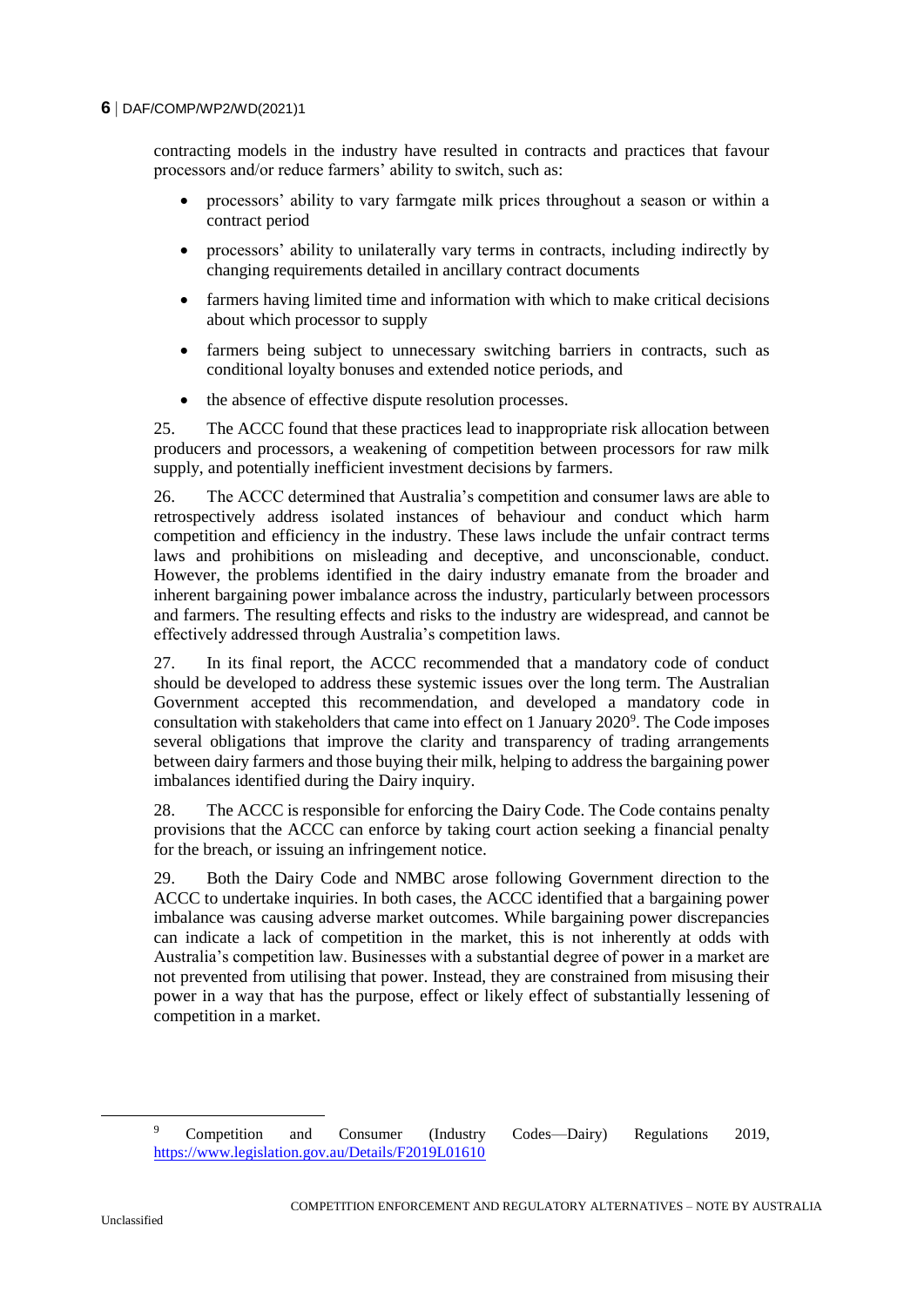contracting models in the industry have resulted in contracts and practices that favour processors and/or reduce farmers' ability to switch, such as:

- processors' ability to vary farmgate milk prices throughout a season or within a contract period
- processors' ability to unilaterally vary terms in contracts, including indirectly by changing requirements detailed in ancillary contract documents
- farmers having limited time and information with which to make critical decisions about which processor to supply
- farmers being subject to unnecessary switching barriers in contracts, such as conditional loyalty bonuses and extended notice periods, and
- the absence of effective dispute resolution processes.

25. The ACCC found that these practices lead to inappropriate risk allocation between producers and processors, a weakening of competition between processors for raw milk supply, and potentially inefficient investment decisions by farmers.

26. The ACCC determined that Australia's competition and consumer laws are able to retrospectively address isolated instances of behaviour and conduct which harm competition and efficiency in the industry. These laws include the unfair contract terms laws and prohibitions on misleading and deceptive, and unconscionable, conduct. However, the problems identified in the dairy industry emanate from the broader and inherent bargaining power imbalance across the industry, particularly between processors and farmers. The resulting effects and risks to the industry are widespread, and cannot be effectively addressed through Australia's competition laws.

27. In its final report, the ACCC recommended that a mandatory code of conduct should be developed to address these systemic issues over the long term. The Australian Government accepted this recommendation, and developed a mandatory code in consultation with stakeholders that came into effect on 1 January 2020<sup>9</sup>. The Code imposes several obligations that improve the clarity and transparency of trading arrangements between dairy farmers and those buying their milk, helping to address the bargaining power imbalances identified during the Dairy inquiry.

28. The ACCC is responsible for enforcing the Dairy Code. The Code contains penalty provisions that the ACCC can enforce by taking court action seeking a financial penalty for the breach, or issuing an infringement notice.

29. Both the Dairy Code and NMBC arose following Government direction to the ACCC to undertake inquiries. In both cases, the ACCC identified that a bargaining power imbalance was causing adverse market outcomes. While bargaining power discrepancies can indicate a lack of competition in the market, this is not inherently at odds with Australia's competition law. Businesses with a substantial degree of power in a market are not prevented from utilising that power. Instead, they are constrained from misusing their power in a way that has the purpose, effect or likely effect of substantially lessening of competition in a market.

<sup>9</sup> Competition and Consumer (Industry Codes—Dairy) Regulations 2019, <https://www.legislation.gov.au/Details/F2019L01610>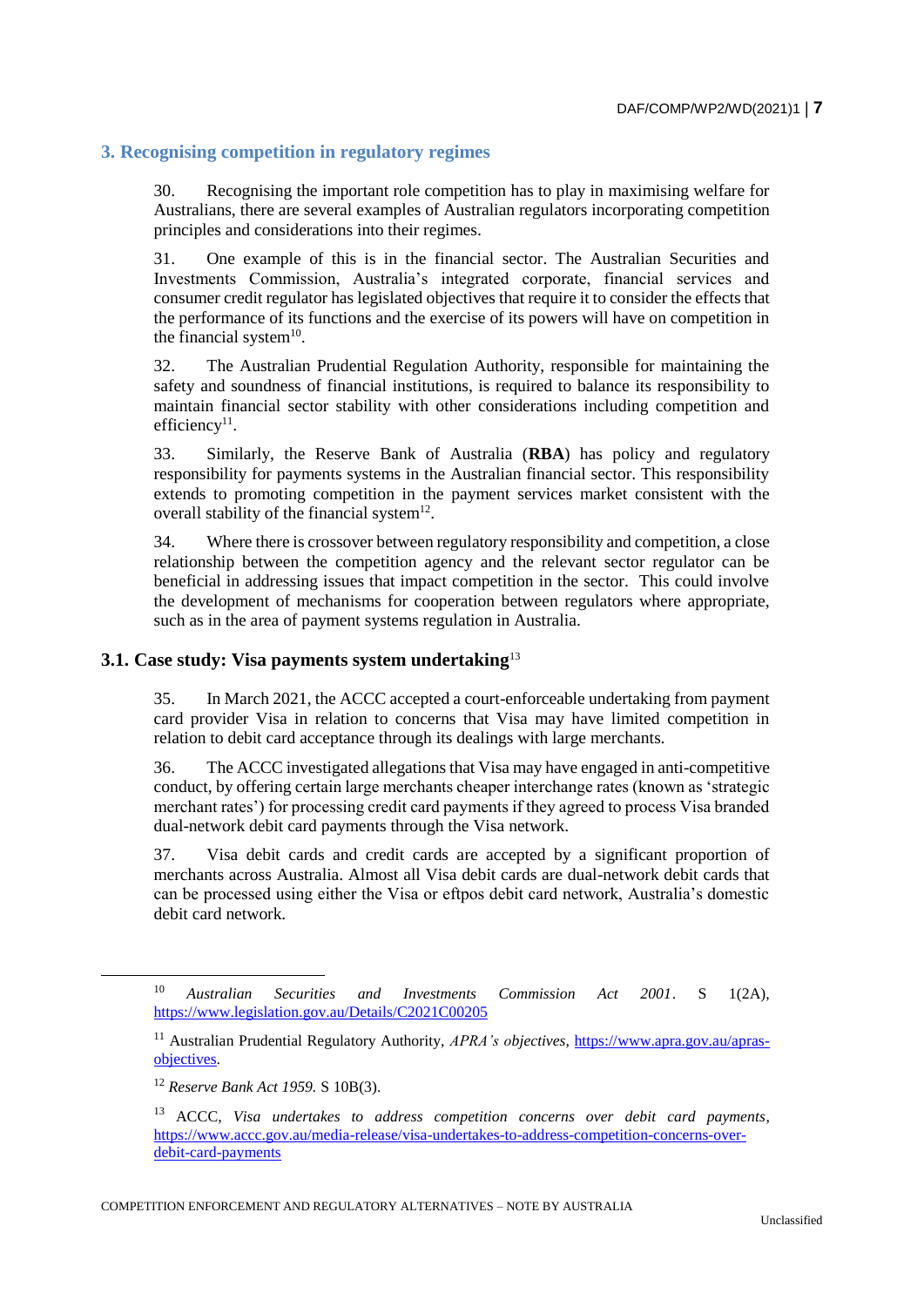#### **3. Recognising competition in regulatory regimes**

30. Recognising the important role competition has to play in maximising welfare for Australians, there are several examples of Australian regulators incorporating competition principles and considerations into their regimes.

31. One example of this is in the financial sector. The Australian Securities and Investments Commission, Australia's integrated corporate, financial services and consumer credit regulator has legislated objectives that require it to consider the effects that the performance of its functions and the exercise of its powers will have on competition in the financial system $10$ .

32. The Australian Prudential Regulation Authority, responsible for maintaining the safety and soundness of financial institutions, is required to balance its responsibility to maintain financial sector stability with other considerations including competition and  $efficiency<sup>11</sup>$ .

33. Similarly, the Reserve Bank of Australia (**RBA**) has policy and regulatory responsibility for payments systems in the Australian financial sector. This responsibility extends to promoting competition in the payment services market consistent with the overall stability of the financial system $^{12}$ .

34. Where there is crossover between regulatory responsibility and competition, a close relationship between the competition agency and the relevant sector regulator can be beneficial in addressing issues that impact competition in the sector. This could involve the development of mechanisms for cooperation between regulators where appropriate, such as in the area of payment systems regulation in Australia.

### **3.1. Case study: Visa payments system undertaking**<sup>13</sup>

35. In March 2021, the ACCC accepted a court-enforceable undertaking from payment card provider Visa in relation to concerns that Visa may have limited competition in relation to debit card acceptance through its dealings with large merchants.

36. The ACCC investigated allegations that Visa may have engaged in anti-competitive conduct, by offering certain large merchants cheaper interchange rates (known as 'strategic merchant rates') for processing credit card payments if they agreed to process Visa branded dual-network debit card payments through the Visa network.

37. Visa debit cards and credit cards are accepted by a significant proportion of merchants across Australia. Almost all Visa debit cards are dual-network debit cards that can be processed using either the Visa or eftpos debit card network, Australia's domestic debit card network.

<sup>10</sup> *Australian Securities and Investments Commission Act 2001*. S 1(2A), <https://www.legislation.gov.au/Details/C2021C00205>

<sup>&</sup>lt;sup>11</sup> Australian Prudential Regulatory Authority, *APRA's objectives*, [https://www.apra.gov.au/apras](https://www.apra.gov.au/apras-objectives)[objectives.](https://www.apra.gov.au/apras-objectives)

<sup>12</sup> *Reserve Bank Act 1959.* S 10B(3).

<sup>13</sup> ACCC, *Visa undertakes to address competition concerns over debit card payments*, [https://www.accc.gov.au/media-release/visa-undertakes-to-address-competition-concerns-over](https://www.accc.gov.au/media-release/visa-undertakes-to-address-competition-concerns-over-debit-card-payments)[debit-card-payments](https://www.accc.gov.au/media-release/visa-undertakes-to-address-competition-concerns-over-debit-card-payments)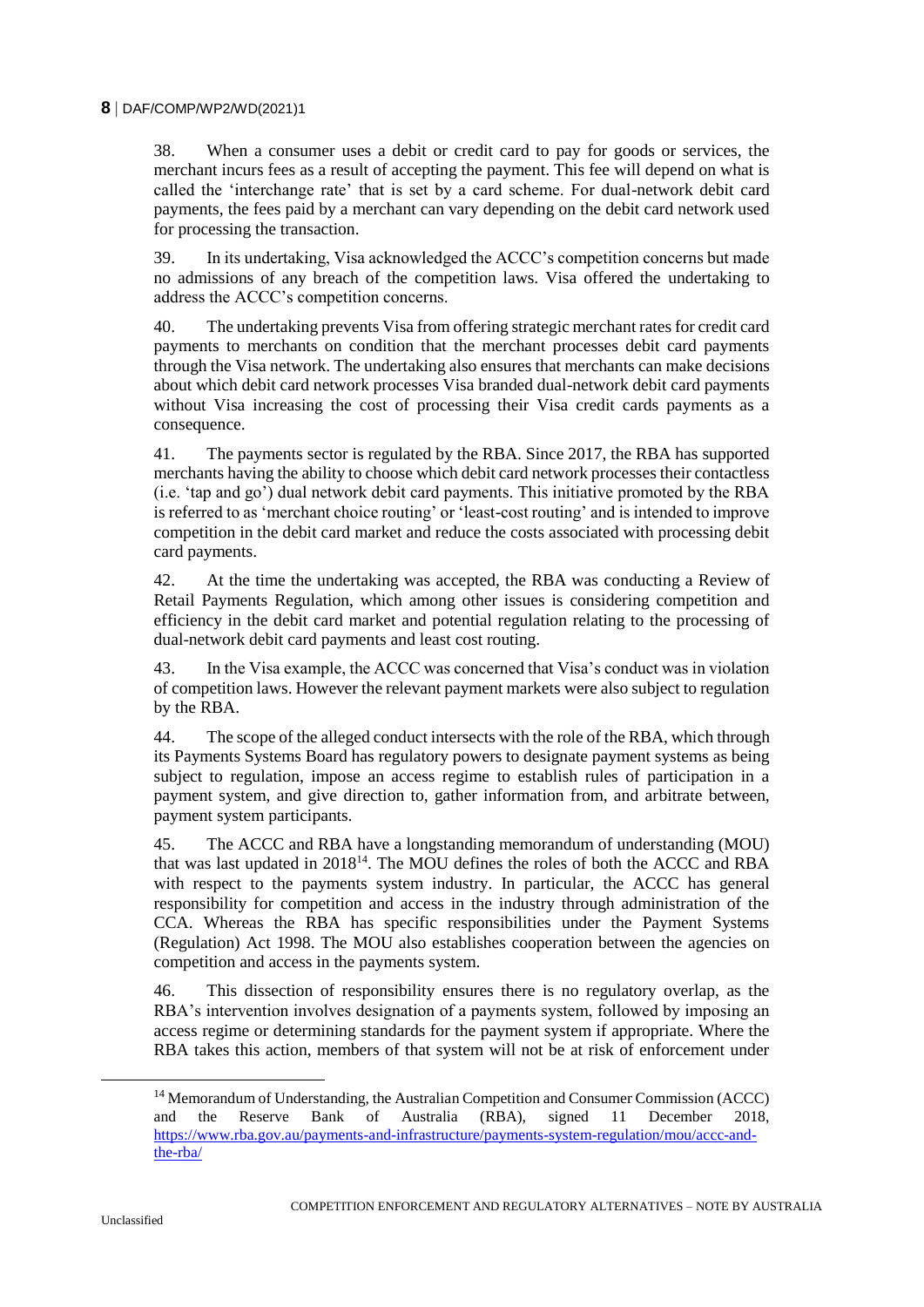38. When a consumer uses a debit or credit card to pay for goods or services, the merchant incurs fees as a result of accepting the payment. This fee will depend on what is called the 'interchange rate' that is set by a card scheme. For dual-network debit card payments, the fees paid by a merchant can vary depending on the debit card network used for processing the transaction.

39. In its undertaking, Visa acknowledged the ACCC's competition concerns but made no admissions of any breach of the competition laws. Visa offered the undertaking to address the ACCC's competition concerns.

40. The undertaking prevents Visa from offering strategic merchant rates for credit card payments to merchants on condition that the merchant processes debit card payments through the Visa network. The undertaking also ensures that merchants can make decisions about which debit card network processes Visa branded dual-network debit card payments without Visa increasing the cost of processing their Visa credit cards payments as a consequence.

41. The payments sector is regulated by the RBA. Since 2017, the RBA has supported merchants having the ability to choose which debit card network processes their contactless (i.e. 'tap and go') dual network debit card payments. This initiative promoted by the RBA is referred to as 'merchant choice routing' or 'least-cost routing' and is intended to improve competition in the debit card market and reduce the costs associated with processing debit card payments.

42. At the time the undertaking was accepted, the RBA was conducting a Review of Retail Payments Regulation, which among other issues is considering competition and efficiency in the debit card market and potential regulation relating to the processing of dual-network debit card payments and least cost routing.

43. In the Visa example, the ACCC was concerned that Visa's conduct was in violation of competition laws. However the relevant payment markets were also subject to regulation by the RBA.

44. The scope of the alleged conduct intersects with the role of the RBA, which through its Payments Systems Board has regulatory powers to designate payment systems as being subject to regulation, impose an access regime to establish rules of participation in a payment system, and give direction to, gather information from, and arbitrate between, payment system participants.

45. The ACCC and RBA have a longstanding memorandum of understanding (MOU) that was last updated in 2018<sup>14</sup>. The MOU defines the roles of both the ACCC and RBA with respect to the payments system industry. In particular, the ACCC has general responsibility for competition and access in the industry through administration of the CCA. Whereas the RBA has specific responsibilities under the Payment Systems (Regulation) Act 1998. The MOU also establishes cooperation between the agencies on competition and access in the payments system.

46. This dissection of responsibility ensures there is no regulatory overlap, as the RBA's intervention involves designation of a payments system, followed by imposing an access regime or determining standards for the payment system if appropriate. Where the RBA takes this action, members of that system will not be at risk of enforcement under

<sup>&</sup>lt;sup>14</sup> Memorandum of Understanding, the Australian Competition and Consumer Commission (ACCC) and the Reserve Bank of Australia (RBA), signed 11 December 2018, [https://www.rba.gov.au/payments-and-infrastructure/payments-system-regulation/mou/accc-and](https://www.rba.gov.au/payments-and-infrastructure/payments-system-regulation/mou/accc-and-the-rba/)[the-rba/](https://www.rba.gov.au/payments-and-infrastructure/payments-system-regulation/mou/accc-and-the-rba/)